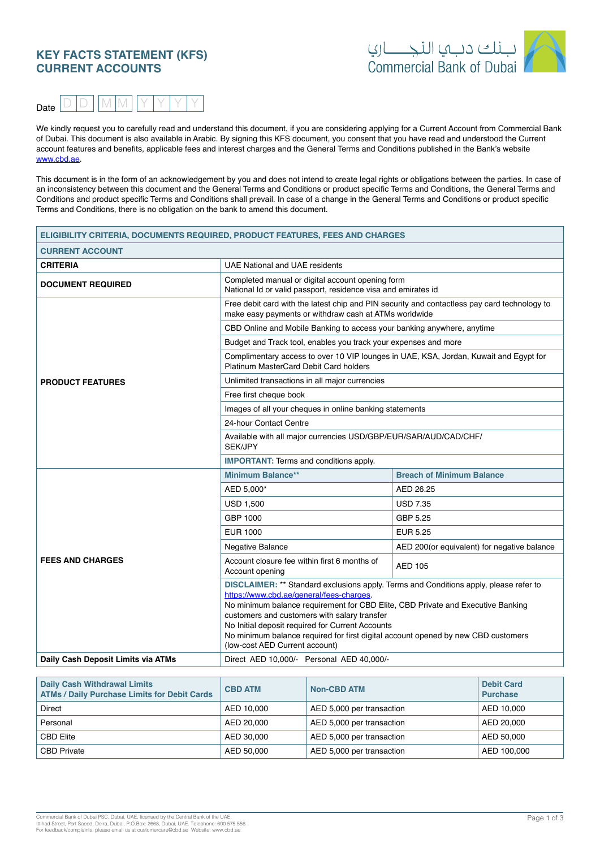# **KEY FACTS STATEMENT (KFS) CURRENT ACCOUNTS**





We kindly request you to carefully read and understand this document, if you are considering applying for a Current Account from Commercial Bank of Dubai. This document is also available in Arabic. By signing this KFS document, you consent that you have read and understood the Current account features and benefits, applicable fees and interest charges and the General Terms and Conditions published in the Bank's website www.cbd.ae

This document is in the form of an acknowledgement by you and does not intend to create legal rights or obligations between the parties. In case of an inconsistency between this document and the General Terms and Conditions or product specific Terms and Conditions, the General Terms and Conditions and product specific Terms and Conditions shall prevail. In case of a change in the General Terms and Conditions or product specific Terms and Conditions, there is no obligation on the bank to amend this document.

| ELIGIBILITY CRITERIA, DOCUMENTS REQUIRED, PRODUCT FEATURES, FEES AND CHARGES |                                                                                                                                                                                                                                                                                                                                                                                                                                                 |                                             |  |  |  |
|------------------------------------------------------------------------------|-------------------------------------------------------------------------------------------------------------------------------------------------------------------------------------------------------------------------------------------------------------------------------------------------------------------------------------------------------------------------------------------------------------------------------------------------|---------------------------------------------|--|--|--|
| <b>CURRENT ACCOUNT</b>                                                       |                                                                                                                                                                                                                                                                                                                                                                                                                                                 |                                             |  |  |  |
| <b>CRITERIA</b>                                                              | <b>UAE National and UAE residents</b>                                                                                                                                                                                                                                                                                                                                                                                                           |                                             |  |  |  |
| <b>DOCUMENT REQUIRED</b>                                                     | Completed manual or digital account opening form<br>National Id or valid passport, residence visa and emirates id                                                                                                                                                                                                                                                                                                                               |                                             |  |  |  |
|                                                                              | Free debit card with the latest chip and PIN security and contactless pay card technology to<br>make easy payments or withdraw cash at ATMs worldwide                                                                                                                                                                                                                                                                                           |                                             |  |  |  |
|                                                                              | CBD Online and Mobile Banking to access your banking anywhere, anytime                                                                                                                                                                                                                                                                                                                                                                          |                                             |  |  |  |
|                                                                              | Budget and Track tool, enables you track your expenses and more                                                                                                                                                                                                                                                                                                                                                                                 |                                             |  |  |  |
|                                                                              | Complimentary access to over 10 VIP lounges in UAE, KSA, Jordan, Kuwait and Egypt for<br>Platinum MasterCard Debit Card holders                                                                                                                                                                                                                                                                                                                 |                                             |  |  |  |
| <b>PRODUCT FEATURES</b>                                                      | Unlimited transactions in all major currencies                                                                                                                                                                                                                                                                                                                                                                                                  |                                             |  |  |  |
|                                                                              | Free first cheque book                                                                                                                                                                                                                                                                                                                                                                                                                          |                                             |  |  |  |
|                                                                              | Images of all your cheques in online banking statements                                                                                                                                                                                                                                                                                                                                                                                         |                                             |  |  |  |
|                                                                              | 24-hour Contact Centre                                                                                                                                                                                                                                                                                                                                                                                                                          |                                             |  |  |  |
|                                                                              | Available with all major currencies USD/GBP/EUR/SAR/AUD/CAD/CHF/<br><b>SEK/JPY</b>                                                                                                                                                                                                                                                                                                                                                              |                                             |  |  |  |
|                                                                              | <b>IMPORTANT:</b> Terms and conditions apply.                                                                                                                                                                                                                                                                                                                                                                                                   |                                             |  |  |  |
|                                                                              | <b>Minimum Balance**</b>                                                                                                                                                                                                                                                                                                                                                                                                                        | <b>Breach of Minimum Balance</b>            |  |  |  |
|                                                                              | AED 5,000*                                                                                                                                                                                                                                                                                                                                                                                                                                      | AED 26.25                                   |  |  |  |
|                                                                              | <b>USD 1,500</b>                                                                                                                                                                                                                                                                                                                                                                                                                                | <b>USD 7.35</b>                             |  |  |  |
|                                                                              | GBP 1000                                                                                                                                                                                                                                                                                                                                                                                                                                        | GBP 5.25                                    |  |  |  |
|                                                                              | EUR 1000                                                                                                                                                                                                                                                                                                                                                                                                                                        | <b>EUR 5.25</b>                             |  |  |  |
|                                                                              | <b>Negative Balance</b>                                                                                                                                                                                                                                                                                                                                                                                                                         | AED 200(or equivalent) for negative balance |  |  |  |
| <b>FEES AND CHARGES</b>                                                      | Account closure fee within first 6 months of<br>Account opening                                                                                                                                                                                                                                                                                                                                                                                 | AED 105                                     |  |  |  |
|                                                                              | DISCLAIMER: ** Standard exclusions apply. Terms and Conditions apply, please refer to<br>https://www.cbd.ae/general/fees-charges.<br>No minimum balance requirement for CBD Elite, CBD Private and Executive Banking<br>customers and customers with salary transfer<br>No Initial deposit required for Current Accounts<br>No minimum balance required for first digital account opened by new CBD customers<br>(low-cost AED Current account) |                                             |  |  |  |
| Daily Cash Deposit Limits via ATMs                                           | Direct AED 10,000/- Personal AED 40,000/-                                                                                                                                                                                                                                                                                                                                                                                                       |                                             |  |  |  |

| <b>Daily Cash Withdrawal Limits</b><br><b>ATMs / Daily Purchase Limits for Debit Cards</b> | <b>CBD ATM</b> | <b>Non-CBD ATM</b>        | <b>Debit Card</b><br><b>Purchase</b> |
|--------------------------------------------------------------------------------------------|----------------|---------------------------|--------------------------------------|
| Direct                                                                                     | AED 10,000     | AED 5,000 per transaction | AED 10.000                           |
| Personal                                                                                   | AED 20.000     | AED 5,000 per transaction | AED 20.000                           |
| <b>CBD Elite</b>                                                                           | AED 30.000     | AED 5,000 per transaction | AED 50.000                           |
| <b>CBD Private</b>                                                                         | AED 50.000     | AED 5,000 per transaction | AED 100.000                          |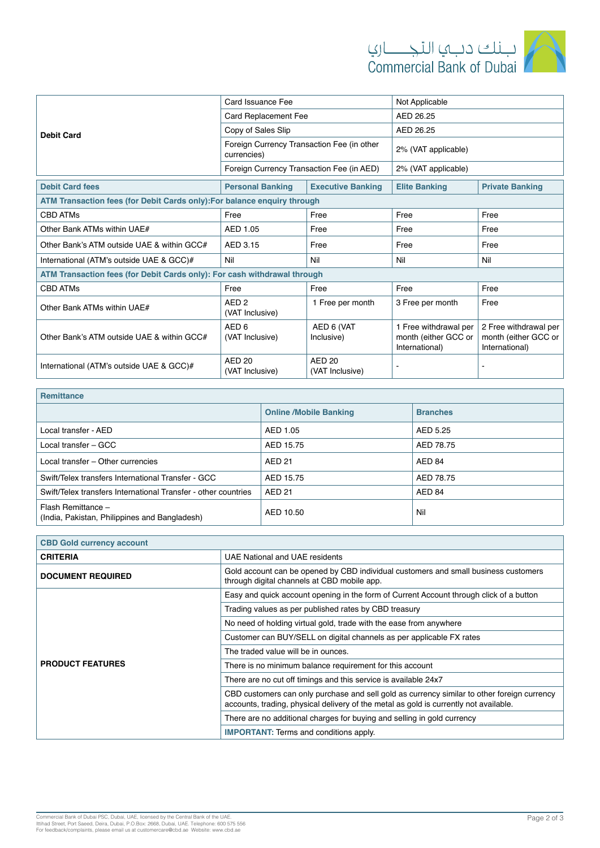

|                                                                          | Card Issuance Fee                                         |                                  | Not Applicable                                                  |                                                                 |  |  |
|--------------------------------------------------------------------------|-----------------------------------------------------------|----------------------------------|-----------------------------------------------------------------|-----------------------------------------------------------------|--|--|
|                                                                          | Card Replacement Fee                                      |                                  | AED 26.25                                                       |                                                                 |  |  |
| <b>Debit Card</b>                                                        | Copy of Sales Slip                                        |                                  | AED 26.25                                                       |                                                                 |  |  |
|                                                                          | Foreign Currency Transaction Fee (in other<br>currencies) |                                  | 2% (VAT applicable)                                             |                                                                 |  |  |
|                                                                          | Foreign Currency Transaction Fee (in AED)                 |                                  | 2% (VAT applicable)                                             |                                                                 |  |  |
| <b>Debit Card fees</b>                                                   | <b>Personal Banking</b>                                   | <b>Executive Banking</b>         | <b>Elite Banking</b>                                            | <b>Private Banking</b>                                          |  |  |
| ATM Transaction fees (for Debit Cards only): For balance enquiry through |                                                           |                                  |                                                                 |                                                                 |  |  |
| <b>CBD ATMs</b>                                                          | Free                                                      | Free                             | Free                                                            | Free                                                            |  |  |
| Other Bank ATMs within UAE#                                              | AED 1.05                                                  | Free                             | Free                                                            | Free                                                            |  |  |
| Other Bank's ATM outside UAE & within GCC#                               | AED 3.15                                                  | Free                             | Free                                                            | Free                                                            |  |  |
| International (ATM's outside UAE & GCC)#                                 | Nil<br>Nil                                                |                                  | Nil                                                             | Nil                                                             |  |  |
| ATM Transaction fees (for Debit Cards only): For cash withdrawal through |                                                           |                                  |                                                                 |                                                                 |  |  |
| <b>CBD ATMs</b>                                                          | Free                                                      | Free                             | Free                                                            | Free                                                            |  |  |
| Other Bank ATMs within UAE#                                              | AED <sub>2</sub><br>(VAT Inclusive)                       | 1 Free per month                 | 3 Free per month                                                | Free                                                            |  |  |
| Other Bank's ATM outside UAE & within GCC#                               | AED <sub>6</sub><br>(VAT Inclusive)                       | AED 6 (VAT<br>Inclusive)         | 1 Free withdrawal per<br>month (either GCC or<br>International) | 2 Free withdrawal per<br>month (either GCC or<br>International) |  |  |
| International (ATM's outside UAE & GCC)#                                 | AED <sub>20</sub><br>(VAT Inclusive)                      | <b>AED 20</b><br>(VAT Inclusive) |                                                                 |                                                                 |  |  |

| <b>Remittance</b>                                                   |                               |                 |  |  |  |  |
|---------------------------------------------------------------------|-------------------------------|-----------------|--|--|--|--|
|                                                                     | <b>Online /Mobile Banking</b> | <b>Branches</b> |  |  |  |  |
| Local transfer - AED                                                | AED 1.05                      | AED 5.25        |  |  |  |  |
| Local transfer – GCC                                                | AED 15.75                     | AED 78.75       |  |  |  |  |
| Local transfer - Other currencies                                   | <b>AED 21</b>                 | AED 84          |  |  |  |  |
| Swift/Telex transfers International Transfer - GCC                  | AED 15.75                     | AED 78.75       |  |  |  |  |
| Swift/Telex transfers International Transfer - other countries      | <b>AED 21</b>                 | AED 84          |  |  |  |  |
| Flash Remittance -<br>(India, Pakistan, Philippines and Bangladesh) | AED 10.50                     | Nil             |  |  |  |  |

| <b>CBD Gold currency account</b> |                                                                                                                                                                                      |
|----------------------------------|--------------------------------------------------------------------------------------------------------------------------------------------------------------------------------------|
| <b>CRITERIA</b>                  | UAE National and UAE residents                                                                                                                                                       |
| <b>DOCUMENT REQUIRED</b>         | Gold account can be opened by CBD individual customers and small business customers<br>through digital channels at CBD mobile app.                                                   |
|                                  | Easy and quick account opening in the form of Current Account through click of a button                                                                                              |
|                                  | Trading values as per published rates by CBD treasury                                                                                                                                |
|                                  | No need of holding virtual gold, trade with the ease from anywhere                                                                                                                   |
|                                  | Customer can BUY/SELL on digital channels as per applicable FX rates                                                                                                                 |
|                                  | The traded value will be in ounces.                                                                                                                                                  |
| <b>PRODUCT FEATURES</b>          | There is no minimum balance requirement for this account                                                                                                                             |
|                                  | There are no cut off timings and this service is available 24x7                                                                                                                      |
|                                  | CBD customers can only purchase and sell gold as currency similar to other foreign currency<br>accounts, trading, physical delivery of the metal as gold is currently not available. |
|                                  | There are no additional charges for buying and selling in gold currency                                                                                                              |
|                                  | <b>IMPORTANT:</b> Terms and conditions apply.                                                                                                                                        |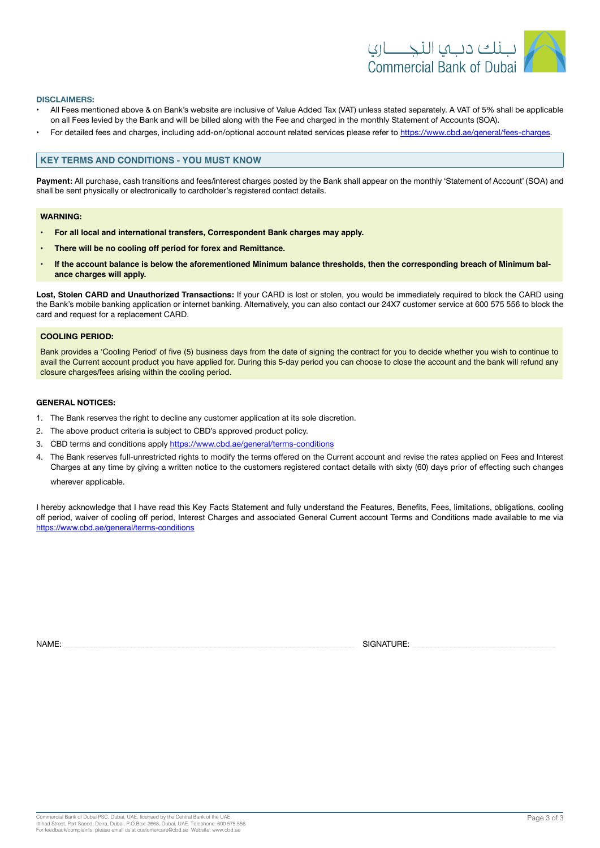

#### **:DISCLAIMERS**

- All Fees mentioned above & on Bank's website are inclusive of Value Added Tax (VAT) unless stated separately. A VAT of 5% shall be applicable on all Fees levied by the Bank and will be billed along with the Fee and charged in the monthly Statement of Accounts (SOA).
- For detailed fees and charges, including add-on/optional account related services please refer to https://www.cbd.ae/general/fees-charges.

## **KEY TERMS AND CONDITIONS - YOU MUST KNOW**

Payment: All purchase, cash transitions and fees/interest charges posted by the Bank shall appear on the monthly 'Statement of Account' (SOA) and shall be sent physically or electronically to cardholder's registered contact details.

### **:WARNING**

- **For all local and international transfers, Correspondent Bank charges may apply.**
- There will be no cooling off period for forex and Remittance.
- · If the account balance is below the aforementioned Minimum balance thresholds, then the corresponding breach of Minimum bal-<br><mark>ance charges will apply.</mark>

Lost, Stolen CARD and Unauthorized Transactions: If your CARD is lost or stolen, you would be immediately required to block the CARD using the Bank's mobile banking application or internet banking. Alternatively, you can also contact our 24X7 customer service at 600 575 556 to block the card and request for a replacement CARD.

#### **COOLING PERIOD:**

Bank provides a 'Cooling Period' of five (5) business days from the date of signing the contract for you to decide whether you wish to continue to avail the Current account product you have applied for. During this 5-day period you can choose to close the account and the bank will refund any closure charges/fees arising within the cooling period.

### **GENERAL NOTICES:**

- 1. The Bank reserves the right to decline any customer application at its sole discretion.
- 2. The above product criteria is subject to CBD's approved product policy.
- 3. CBD terms and conditions apply https://www.cbd.ae/general/terms-conditions
- 4. The Bank reserves full-unrestricted rights to modify the terms offered on the Current account and revise the rates applied on Fees and Interest Charges at any time by giving a written notice to the customers registered contact details with sixty (60) days prior of effecting such changes

wherever applicable.

I hereby acknowledge that I have read this Key Facts Statement and fully understand the Features, Benefits, Fees, limitations, obligations, cooling off period, waiver of cooling off period, Interest Charges and associated General Current account Terms and Conditions made available to me via https://www.cbd.ae/general/terms-conditions

NAME: SIGNATURE: SIGNATURE: SIGNATURE: SIGNATURE: SIGNATURE: SIGNATURE: SIGNATURE: SIGNATURE: SIGNATURE: SIGNATURE: SIGNATURE: SIGNATURE: SIGNATURE: SIGNATURE: SIGNATURE: SIGNATURE: SIGNATURE: SIGNATURE: SIGNATURE: SIGNATU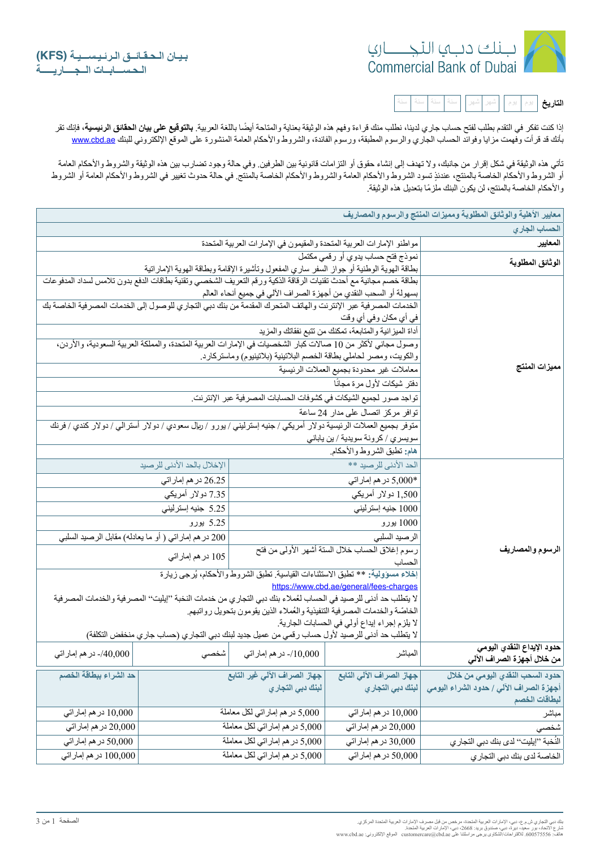

| the control of the control of the control of |  |  |  |  |  |  |  | يو م | يو م | التاريخ |
|----------------------------------------------|--|--|--|--|--|--|--|------|------|---------|
|----------------------------------------------|--|--|--|--|--|--|--|------|------|---------|

إذا كنت تفكر في التقدم بطلب لفتح حساب جاري لدينا، نطلب منك قراءة وفهم هذه الوثيقة بعناية والمتاحة أيضًا باللغة العربية. **بالتوقيع على بيان الحقائق الرئيسية،** فإنك تقر بأنك قد قرأت وفهمت مزايا وفوائد الحساب الجاري والرسوم المطبقة، ورسوم الفائدة، والشروط والأحكام العامة المنشورة على الموقع الإلكتروني للبنك @www.cbd.ae

تأتي هذه الوثیقة في شكل إقرار من جانبك، ولا تهدف إلى إنشاء حقوق أو التزامات قانونیة بین الطرفین وفي حالة وجود تضارب بین هذه الوثیقة والشروط والأحكام العامة أو الشروط والأحكام الخاصة بالمنتج، عندئذٍ تسود الشروط والأحكام الأحكام الخاصة بالمنتج. في حالة حدوث تغيير في الشروط والأحكام العامة أو الشروط ً والأحكام الخاصة بالمنتج، لن یكون البنك ملزما بتعدیل ھذه الوثیقة.

| معايير الأهلية والوثائق المطلوبة ومميزات المنتج والرسوم والمصاريف |                                                                                                  |                                                                                                                   |                                                               |                                                                                                                    |  |  |
|-------------------------------------------------------------------|--------------------------------------------------------------------------------------------------|-------------------------------------------------------------------------------------------------------------------|---------------------------------------------------------------|--------------------------------------------------------------------------------------------------------------------|--|--|
| الحساب الجاري                                                     |                                                                                                  |                                                                                                                   |                                                               |                                                                                                                    |  |  |
| المعايير                                                          |                                                                                                  | مواطنو الإمارات العربية المتحدة والمقيمون في الإمارات العربية المتحدة                                             |                                                               |                                                                                                                    |  |  |
| الوثائق المطلوبة                                                  | نموذج فتح حساب يدوي أو رقمي مكتمل                                                                | بطاقة الهوية الوطنية أو جواز السفر ساري المفعول وتأشيرة الإقامة وبطاقة الهوية الإماراتية                          |                                                               |                                                                                                                    |  |  |
|                                                                   |                                                                                                  |                                                                                                                   |                                                               | بطاقة خصم مجانية مع أحدث تقنيات الرقاقة الذكية ورقم التعريف الشخصيي وتقنية بطاقات الدفع بدون تلامس لسداد المدفوعات |  |  |
|                                                                   |                                                                                                  | بسهولة أو السحب النقدي من أجهزة الصراف الآلي في جميع أنحاء العالم                                                 |                                                               |                                                                                                                    |  |  |
|                                                                   |                                                                                                  |                                                                                                                   |                                                               | الخدمات المصر فية عبر الإنترنت والهاتف المتحرك المقدمة من بنك دبي التجاري للوصول إلى الخدمات المصر فية الخاصة بك   |  |  |
|                                                                   | في أي مكان وفي أي وقت                                                                            |                                                                                                                   |                                                               |                                                                                                                    |  |  |
|                                                                   | أداة الميزانية والمنابعة، تمكنك من تتبع نفقاتك والمزيد                                           |                                                                                                                   |                                                               |                                                                                                                    |  |  |
|                                                                   |                                                                                                  | وصول مجاني لأكثر من 10 صالات كبار الشخصيات في الإمارات العربية المتحدة، والمملكة العربية السعودية، والأردن،       |                                                               |                                                                                                                    |  |  |
|                                                                   |                                                                                                  | والكويت، ومصر لحاملي بطاقة الخصم البلاتينية (بلاتينيوم) وماستركارد.                                               |                                                               |                                                                                                                    |  |  |
| مميزات المنتج                                                     | معاملات غير محدودة بجميع العملات الرئيسية                                                        |                                                                                                                   |                                                               |                                                                                                                    |  |  |
|                                                                   | دفتر شيكات لأول مرة مجانًا                                                                       |                                                                                                                   |                                                               |                                                                                                                    |  |  |
|                                                                   |                                                                                                  | تواجد صور لجميع الشيكات في كشوفات الحسابات المصر فية عبر الإنترنت.                                                |                                                               |                                                                                                                    |  |  |
|                                                                   | توافر مركز اتصال على مدار 24 ساعة                                                                |                                                                                                                   |                                                               |                                                                                                                    |  |  |
|                                                                   |                                                                                                  | متوفر بجميع العملات الرئيسية دولار أمريكي / جنيه إسترليني / يورو / ريال سعودي / دولار أسترالي / دولار كندي / فرنك |                                                               |                                                                                                                    |  |  |
|                                                                   | سويسري / كرونة سويدية / ين ياباني                                                                |                                                                                                                   |                                                               |                                                                                                                    |  |  |
|                                                                   | هام: تطبق الشروط والأحكام.                                                                       |                                                                                                                   |                                                               |                                                                                                                    |  |  |
|                                                                   | الحد الأدنى للرصيد **                                                                            |                                                                                                                   | الإخلال بالحد الأدنى للرصيد                                   |                                                                                                                    |  |  |
|                                                                   | *5,000 در هم إمار اتي                                                                            |                                                                                                                   | 26.25 در هم إمار اتى                                          |                                                                                                                    |  |  |
|                                                                   | 1,500 دولار أمريكي                                                                               |                                                                                                                   | 7.35 دولار أمريكي                                             |                                                                                                                    |  |  |
|                                                                   | 1000 جنيه إسترليني                                                                               |                                                                                                                   | 5.25 جنيه إسترليني                                            |                                                                                                                    |  |  |
|                                                                   | 1000 يورو                                                                                        |                                                                                                                   | 5.25 يورو                                                     |                                                                                                                    |  |  |
|                                                                   | الرصيد السلبي                                                                                    |                                                                                                                   | 200 در هم إمار اتـي ( أو مـا يـعادلـه) مقابل الرـصـيد السلبـي |                                                                                                                    |  |  |
| الرسوم والمصاريف                                                  | رسوم إغلاق الحساب خلال الستة أشهر الأولى من فتح                                                  |                                                                                                                   | 105 در هم إماراتي                                             |                                                                                                                    |  |  |
|                                                                   | الحساب                                                                                           |                                                                                                                   |                                                               |                                                                                                                    |  |  |
|                                                                   |                                                                                                  | إخلاء مسؤولية: ** تطبق الاستثناءات القياسية تطبق الشروط والأحكام، يُرجى زيارة                                     |                                                               |                                                                                                                    |  |  |
|                                                                   | https://www.cbd.ae/general/fees-charges                                                          | لا يتطلب حد أدنى للرصيد في الحساب لعُملاء بنك دبي التجاري من خدمات النخبة ''إيليت'' المصر فية والخدمات المصر فية  |                                                               |                                                                                                                    |  |  |
|                                                                   |                                                                                                  | الخاصّة والخدمات المصرفية التنفيذية والعُملاء الذين يقومون بتحويل رواتبهم                                         |                                                               |                                                                                                                    |  |  |
|                                                                   | لا يلزم إجراء إيداع أولى في الحسابات الجارية.                                                    |                                                                                                                   |                                                               |                                                                                                                    |  |  |
|                                                                   | لا يتطلب حد أدنى للرصيد لأول حساب رقمي من عميل جديد لبنك دبي النجار ي (حساب جار ي منخفض النكلفة) |                                                                                                                   |                                                               |                                                                                                                    |  |  |
| حدود الإيداع النقدي اليومي<br>من خلال أجهزة الصراف الآلي          | المباشر                                                                                          | 10,000/- در هم إمار اتي                                                                                           | شخصي                                                          | 40,000/- در هم إمار اتي                                                                                            |  |  |
| حدود السحب النقدي اليومي من خلال                                  | جهاز الصراف الآلي التابع                                                                         | جهاز الصراف الآلي غير التابع                                                                                      |                                                               | حد الشراء ببطاقة الخصم                                                                                             |  |  |
| أجهزة الصراف الآلي / حدود الشراع اليومي                           | لبنك دبي التجاري                                                                                 | لبنك دبي التجاري                                                                                                  |                                                               |                                                                                                                    |  |  |
| لبطاقات الخصم                                                     |                                                                                                  |                                                                                                                   |                                                               |                                                                                                                    |  |  |
| مباشر                                                             | 10,000 در هم إماراتي                                                                             | 5,000 در هم إماراتي لكل معاملة                                                                                    |                                                               | 10,000 در هم إماراتي                                                                                               |  |  |
| شخصي                                                              | 20,000 در هم إماراتي                                                                             | 5,000 در هم إماراتي لكل معاملة                                                                                    |                                                               | 20,000 در هم إمار اتبي                                                                                             |  |  |
| النُخبة ''إيليت'' لدى بنك دبي التجار ي                            | 30,000 در هم إمار اتي                                                                            | 5,000 در هم إماراتي لكل معاملة                                                                                    |                                                               | 50,000 در هم إماراتي                                                                                               |  |  |
| الخاصة لدى بنك دبي التجاري                                        | 50,000 در هم إماراتي                                                                             | 5,000 در هم إمار اتي لكل معاملة                                                                                   | 100,000 در هم إمار اتي                                        |                                                                                                                    |  |  |

نك دبي النجار ي ش م ع، دبي ، الإمار ات العربية المنحدة مر خص من قبل مصرف الإمار ات العربية المنحدة المركز ي.<br>نارع : الاتحاد : بور سعيد دبورة دبي، مسنوق بريد: 2668، دبي، الإمارات العربية المنحدة<br>فاتف: 360675556، للاقتراحات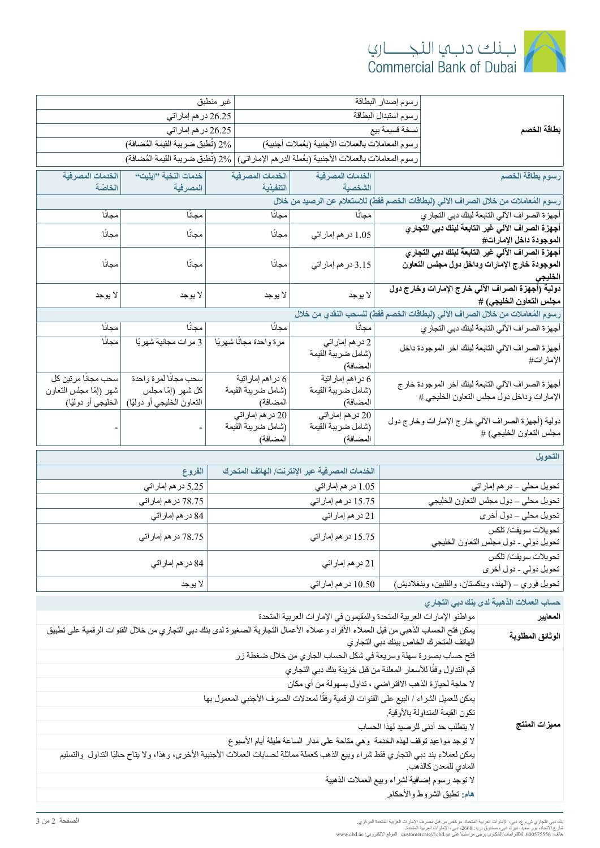

|                                                                                       | رسوم إصدار البطاقة                                         | غير منطبق                                |                                            |                                                |
|---------------------------------------------------------------------------------------|------------------------------------------------------------|------------------------------------------|--------------------------------------------|------------------------------------------------|
|                                                                                       | رسوم استبدال البطاقة                                       |                                          | 26.25 در هم إماراتي                        |                                                |
| بطاقة الخصم                                                                           | نسخة قسيمة بيع                                             |                                          | 26.25 در هم إمار اتي                       |                                                |
|                                                                                       | رسوم المعاملات بالعملات الأجنبية (بعُملات أجنبية)          |                                          | 2% (تُطبق ضريبة القيمة المُضافة)           |                                                |
|                                                                                       | رسوم المعاملات بالعملات الأجنبية (بعُملة الدرهم الإماراني) |                                          | 2% (تُطبق ضريبة القيمة المُضافة)           |                                                |
| رسوم بطاقة الخصم                                                                      | الخدمات المصرفية                                           | الخدمات المصرفية                         | خدمات النخبة "إيليت"                       | الخدمات المصرفية                               |
|                                                                                       | الشخصية                                                    | التنفيذية                                | المصرفية                                   | الخاصّة                                        |
| رسوم المُعاملات من خلال الصراف الآلي (لبطاقات الخصم فَقط) للاستعلام عن الرصيد من خلال |                                                            |                                          |                                            |                                                |
| أجهزة الصراف الآلي التابعة لبنك دبي التجاري                                           | مجانًا                                                     | مجانًا                                   | مجانًا                                     | مجانًا                                         |
| أجهزة الصراف الآلى غير التابعة لبنك دبي التجاري<br>الموجودة داخل الإمارات#            | 1.05 در هم إماراتي                                         | مجانًا                                   | مجانا                                      | مجانا                                          |
| أجهزة الصراف الآلي غير التابعة لبنك دبي التجاري                                       |                                                            |                                          |                                            |                                                |
| الموجودة خارج الإمارات وداخل دول مجلس التعاون                                         | 3.15 در هم إمار اتي                                        | مجانًا                                   | مجانًا                                     | مجانًا                                         |
| الخليجى                                                                               |                                                            |                                          |                                            |                                                |
| دولية (أجهزة الصراف الآلي خارج الإمارات وخارج دول<br>مجلس التعاون الخليجي) #          | لا يوجد                                                    | لا يوجد                                  | لا يوجد                                    | لا يوجد                                        |
| رسوم المُعاملات من خلال الصراف الآلي (لبطاقات الخصم فقط) للسحب النقدي من خلال         |                                                            |                                          |                                            |                                                |
| أجهزة الصراف الآلي التابعة لبنك دبي التجاري                                           | مجانًا                                                     | مجانا                                    | مجانا                                      | مجانا                                          |
| أجهزة الصراف الألي التابعة لبنك أخر الموجودة داخل                                     | 2 در هم إمار اتى                                           | مرة واحدة مجانًا شهريًا                  | 3 مرات مجانية شهريًا                       | مجانًا                                         |
| الإمار ات#                                                                            | (شامل ضريبة القيمة                                         |                                          |                                            |                                                |
|                                                                                       | المضافة)                                                   |                                          |                                            |                                                |
| أجهزة الصراف الألي التابعة لبنك أخر الموجودة خارج                                     | 6 در اهم إمار اتية<br>(شامل ضريبة القيمة                   | 6 در اهم إمار اتية<br>(شامل ضريبة القيمة | سحب مجانًا لمرة واحدة<br>كل شهر (إمّا مجلس | سحب مجانًا مر تين كل<br>شهر (إمّا مجلس التعاون |
| الإمارات وداخل دول مجلس التعاون الخليجي #                                             | المضافة)                                                   | المضافة)                                 | التعاون الخليجي أو دوليًا)                 | الخليجي أو دوليًا)                             |
|                                                                                       | 20 در هم إمار اتى                                          | 20 در هم إمار اتى                        |                                            |                                                |
| دولية (أجهزة الصراف الألي خارج الإمارات وخارج دول<br>مجلس التعاون الخليجي) #          | (شامل ضريبة القيمة                                         | (شامل ضريبة القيمة                       |                                            |                                                |
|                                                                                       | المضافة)                                                   | المضافة)                                 |                                            |                                                |
| التحويل                                                                               |                                                            |                                          |                                            |                                                |
|                                                                                       | الخدمات المصرفية عبر الإنترنت/ الهاتف المتحرك              |                                          | الفروع                                     |                                                |
| تحويل محلي – در هم إمار اتي                                                           | 1.05 در هم إمار اتي                                        |                                          | 5.25 در هم إمار اتي                        |                                                |

| تحويل محلي – در هم إمار اتي                                  | 1.05 در هم إماراتي   | 5.25 در هم إمار اتي |
|--------------------------------------------------------------|----------------------|---------------------|
| تحويل محلي ــ دول مجلس التعاون الخليجي                       | 15.75 در هم إمار اتي | 78.75 در هم إماراتي |
| تحويل محلي – دول أخرى                                        | 21 در هم إمار اتي    | 84 در هم إمار اتي   |
| تحويلات سويفت/ تلكس<br>تحويل دولي - دول مجلس التعاون الخليجي | 15.75 در هم إمار اتي | 78.75 در هم إماراتي |
| تحويلات سويفت/ تلكس<br>تحويل دولي - دول أخرى                 | 21 در هم إمار اتي    | 84 در هم إمار اتي   |
| تحويل فوري ــ (الهند، وباكستان، والفلبين، وبنغلاديش)         | 10.50 در هم إماراتي  | لا يوجد             |

|  |  | حساب العملات الذهبية لدى بنك دبي التجاري |  |  |
|--|--|------------------------------------------|--|--|
|--|--|------------------------------------------|--|--|

| مواطنو الإمارات العربية المتحدة والمقيمون في الإمارات العربية المتحدة                                                                | المعايير         |
|--------------------------------------------------------------------------------------------------------------------------------------|------------------|
| يمكن فتح الحساب الذهبي من قبل العملاء الأفراد وعملاء الأعمال التجارية الصغيرة لدى بنك دبي التجاري من خلال القنوات الرقمية على تطبيق  | الوثائق المطلوبة |
| الهاتف المتحرك الخاص ببنك دبي التجاري                                                                                                |                  |
| فتح حساب بصورة سهلة وسريعة في شكل الحساب الجاري من خلال ضغطة زر                                                                      |                  |
| قيم التداول وفقًا للأسعار المعلنة من قبل خزينة بنك دبي التجاري                                                                       |                  |
| لا حاجة لحيازة الذهب الافتراضي ، تداول بسهولة من أي مكان                                                                             |                  |
| يمكن للعميل الشراء / البيع على القنوات الرقمية وفقًا لمعدلات الصرف الأجنبي المعمول بها                                               |                  |
| تكون القيمة المتداولة بالأوقية                                                                                                       |                  |
| لا يتطلب حد أدنى للرصيد لهذا الحساب                                                                                                  | مميزات المنتج    |
| لا توجد مواعيد توقف لهذه الخدمة وهي متاحة على مدار الساعة طيلة أيام الأسبوع                                                          |                  |
| يمكن لعملاء بند دبي التجاري فقط شراء وبيع الذهب كعملة مماثلة لحسابات العملات الأجنبية الأخرى، وهذا، ولا يتاح حاليًا التداول والتسليم |                  |
| المادي للمعدن كالذهب.                                                                                                                |                  |
| لا توجد رسوم إضافية لشراء وبيع العملات الذهبية                                                                                       |                  |
| هام: تطبق الشروط والأحكام.                                                                                                           |                  |

نك دبي النجار ي ش م ع، دبي ، الإمار ات العربية المنحدة مر خص من قبل مصرف الإمار ات العربية المنحدة المركز ي.<br>نارع : الاتحاد : بور سعيد دبورة دبي، مسنوق بريد: 2668، دبي، الإمارات العربية المنحدة<br>فاتف: 360675556، للاقتراحات